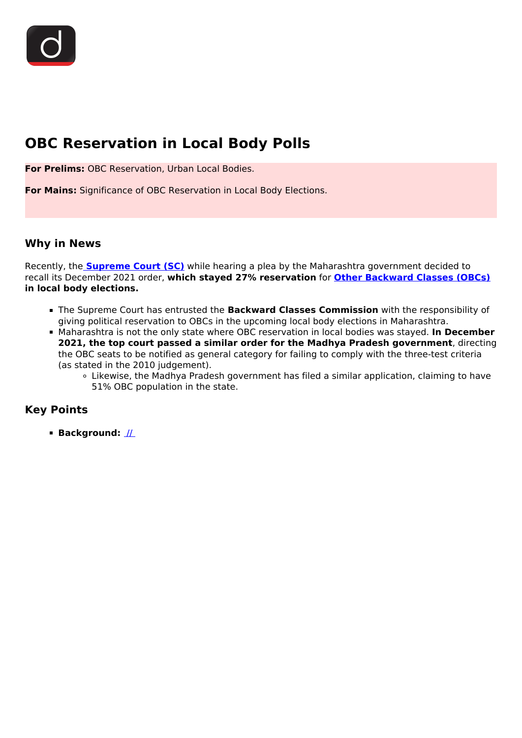# **OBC Reservation in Local Body Polls**

**For Prelims:** OBC Reservation, Urban Local Bodies.

**For Mains:** Significance of OBC Reservation in Local Body Elections.

## **Why in News**

Recently, the **[Supreme Court \(SC\)](/important-institutions/drishti-specials-important-institutions-national-institutions/supreme-court-of-india)** while hearing a plea by the Maharashtra government decided to recall its December 2021 order, **which stayed 27% reservation** for **[Other Backward Classes \(OBCs\)](/daily-updates/daily-news-analysis/creamy-layer-obc) in local body elections.**

- The Supreme Court has entrusted the **Backward Classes Commission** with the responsibility of giving political reservation to OBCs in the upcoming local body elections in Maharashtra.
- Maharashtra is not the only state where OBC reservation in local bodies was stayed. **In December 2021, the top court passed a similar order for the Madhya Pradesh government**, directing the OBC seats to be notified as general category for failing to comply with the three-test criteria (as stated in the 2010 judgement).
	- Likewise, the Madhya Pradesh government has filed a similar application, claiming to have 51% OBC population in the state.

## **Key Points**

**Background:** //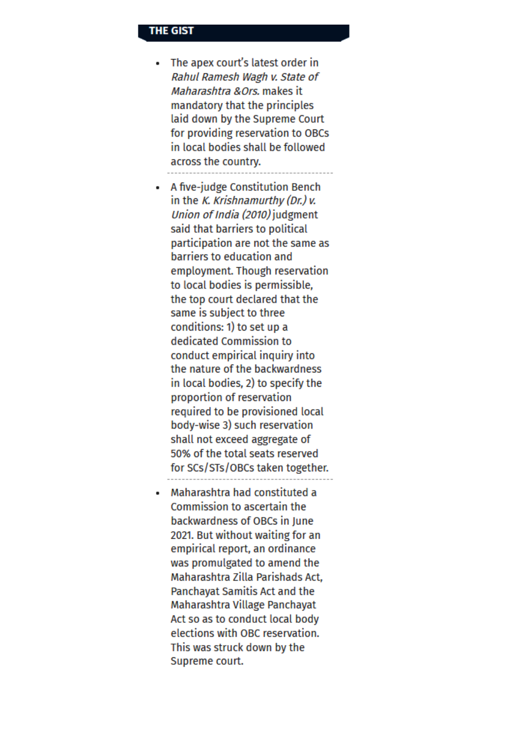### **THE GIST**

- The apex court's latest order in Rahul Ramesh Wagh v. State of Maharashtra & Ors. makes it mandatory that the principles laid down by the Supreme Court for providing reservation to OBCs in local bodies shall be followed across the country.
- A five-judge Constitution Bench in the K. Krishnamurthy (Dr.)  $\nu$ . Union of India (2010) judgment said that barriers to political participation are not the same as barriers to education and employment. Though reservation to local bodies is permissible. the top court declared that the same is subject to three conditions: 1) to set up a dedicated Commission to conduct empirical inquiry into the nature of the backwardness in local bodies, 2) to specify the proportion of reservation required to be provisioned local body-wise 3) such reservation shall not exceed aggregate of 50% of the total seats reserved for SCs/STs/OBCs taken together.
- Maharashtra had constituted a Commission to ascertain the backwardness of OBCs in June 2021. But without waiting for an empirical report, an ordinance was promulgated to amend the Maharashtra Zilla Parishads Act, **Panchavat Samitis Act and the** Maharashtra Village Panchayat Act so as to conduct local body elections with OBC reservation. This was struck down by the Supreme court.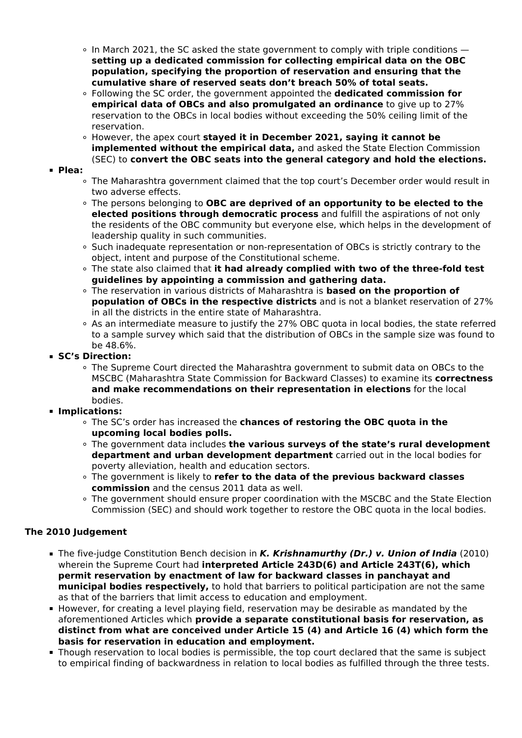- $\circ$  In March 2021, the SC asked the state government to comply with triple conditions  $$ **setting up a dedicated commission for collecting empirical data on the OBC population, specifying the proportion of reservation and ensuring that the cumulative share of reserved seats don't breach 50% of total seats.**
- Following the SC order, the government appointed the **dedicated commission for empirical data of OBCs and also promulgated an ordinance** to give up to 27% reservation to the OBCs in local bodies without exceeding the 50% ceiling limit of the reservation.
- However, the apex court **stayed it in December 2021, saying it cannot be implemented without the empirical data,** and asked the State Election Commission (SEC) to **convert the OBC seats into the general category and hold the elections.**

#### **Plea:**

- The Maharashtra government claimed that the top court's December order would result in two adverse effects.
- The persons belonging to **OBC are deprived of an opportunity to be elected to the elected positions through democratic process** and fulfill the aspirations of not only the residents of the OBC community but everyone else, which helps in the development of leadership quality in such communities.
- Such inadequate representation or non-representation of OBCs is strictly contrary to the object, intent and purpose of the Constitutional scheme.
- The state also claimed that **it had already complied with two of the three-fold test guidelines by appointing a commission and gathering data.**
- The reservation in various districts of Maharashtra is **based on the proportion of population of OBCs in the respective districts** and is not a blanket reservation of 27% in all the districts in the entire state of Maharashtra.
- As an intermediate measure to justify the 27% OBC quota in local bodies, the state referred to a sample survey which said that the distribution of OBCs in the sample size was found to be 48.6%.

## **SC's Direction:**

The Supreme Court directed the Maharashtra government to submit data on OBCs to the MSCBC (Maharashtra State Commission for Backward Classes) to examine its **correctness and make recommendations on their representation in elections** for the local bodies.

## **Implications:**

- The SC's order has increased the **chances of restoring the OBC quota in the upcoming local bodies polls.**
- The government data includes **the various surveys of the state's rural development department and urban development department** carried out in the local bodies for poverty alleviation, health and education sectors.
- The government is likely to **refer to the data of the previous backward classes commission** and the census 2011 data as well.
- The government should ensure proper coordination with the MSCBC and the State Election Commission (SEC) and should work together to restore the OBC quota in the local bodies.

## **The 2010 Judgement**

- The five-judge Constitution Bench decision in *K. Krishnamurthy (Dr.) v. Union of India* (2010) wherein the Supreme Court had **interpreted Article 243D(6) and Article 243T(6), which permit reservation by enactment of law for backward classes in panchayat and municipal bodies respectively,** to hold that barriers to political participation are not the same as that of the barriers that limit access to education and employment.
- **However, for creating a level playing field, reservation may be desirable as mandated by the** aforementioned Articles which **provide a separate constitutional basis for reservation, as distinct from what are conceived under Article 15 (4) and Article 16 (4) which form the basis for reservation in education and employment.**
- Though reservation to local bodies is permissible, the top court declared that the same is subject to empirical finding of backwardness in relation to local bodies as fulfilled through the three tests.